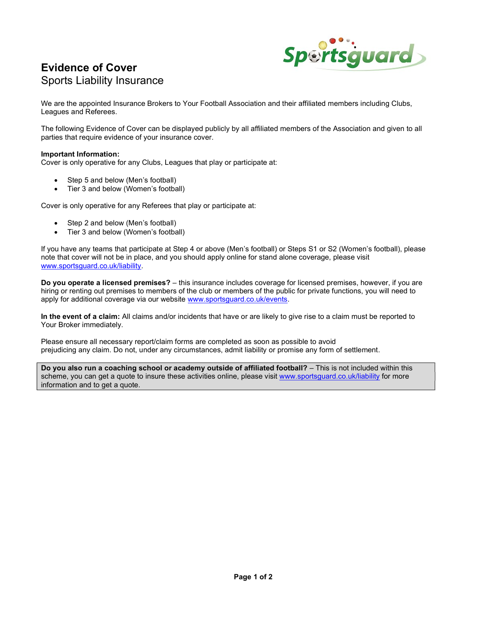

# Evidence of Cover Sports Liability Insurance

We are the appointed Insurance Brokers to Your Football Association and their affiliated members including Clubs, Leagues and Referees.

The following Evidence of Cover can be displayed publicly by all affiliated members of the Association and given to all parties that require evidence of your insurance cover.

#### Important Information:

Cover is only operative for any Clubs, Leagues that play or participate at:

- Step 5 and below (Men's football)
- Tier 3 and below (Women's football)

Cover is only operative for any Referees that play or participate at:

- Step 2 and below (Men's football)
- Tier 3 and below (Women's football)

If you have any teams that participate at Step 4 or above (Men's football) or Steps S1 or S2 (Women's football), please note that cover will not be in place, and you should apply online for stand alone coverage, please visit www.sportsguard.co.uk/liability.

Do you operate a licensed premises? – this insurance includes coverage for licensed premises, however, if you are hiring or renting out premises to members of the club or members of the public for private functions, you will need to apply for additional coverage via our website www.sportsguard.co.uk/events.

In the event of a claim: All claims and/or incidents that have or are likely to give rise to a claim must be reported to Your Broker immediately.

Please ensure all necessary report/claim forms are completed as soon as possible to avoid prejudicing any claim. Do not, under any circumstances, admit liability or promise any form of settlement.

Do you also run a coaching school or academy outside of affiliated football? – This is not included within this scheme, you can get a quote to insure these activities online, please visit www.sportsguard.co.uk/liability for more information and to get a quote.